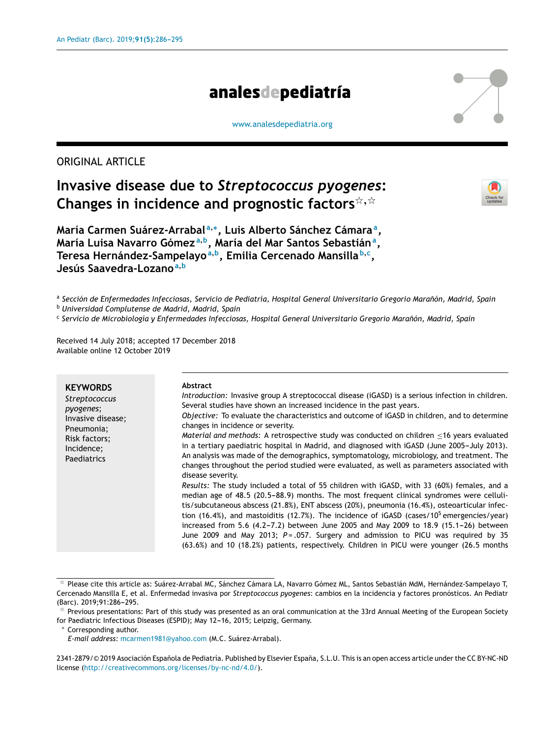# analesdepediatría

#### [www.analesdepediatria.org](http://www.analesdepediatria.org)

# ORIGINAL ARTICLE

# **Invasive disease due to** *Streptococcus pyogenes***: Changes in incidence and prognostic factors**-,-



**María Carmen Suárez-Arrabal <sup>a</sup>**,<sup>∗</sup> **, Luis Alberto Sánchez Cámara<sup>a</sup> , María Luisa Navarro Gómez <sup>a</sup>**,**<sup>b</sup> , María del Mar Santos Sebastián<sup>a</sup> , Teresa Hernández-Sampelayo<sup>a</sup>**,**<sup>b</sup> , Emilia Cercenado Mansilla <sup>b</sup>**,**<sup>c</sup> , Jesús Saavedra-Lozano<sup>a</sup>**,**<sup>b</sup>**

ª Sección de Enfermedades Infecciosas, Servicio de Pediatría, Hospital General Universitario Gregorio Marañón, Madrid, Spain

<sup>b</sup> *Universidad Complutense de Madrid, Madrid, Spain*

c *Servicio de Microbiología y Enfermedades Infecciosas, Hospital General Universitario Gregorio Maranón, ˜ Madrid, Spain*

Received 14 July 2018; accepted 17 December 2018 Available online 12 October 2019

| <b>KEYWORDS</b><br><b>Streptococcus</b><br>pyogenes;<br>Invasive disease;<br>Pneumonia;<br>Risk factors;<br>Incidence;<br>Paediatrics | Abstract<br>Introduction: Invasive group A streptococcal disease (iGASD) is a serious infection in children.<br>Several studies have shown an increased incidence in the past years.<br>Objective: To evaluate the characteristics and outcome of iGASD in children, and to determine<br>changes in incidence or severity.<br>Material and methods: A retrospective study was conducted on children <16 years evaluated<br>in a tertiary paediatric hospital in Madrid, and diagnosed with iGASD (June 2005-July 2013).<br>An analysis was made of the demographics, symptomatology, microbiology, and treatment. The<br>changes throughout the period studied were evaluated, as well as parameters associated with<br>disease severity.<br>Results: The study included a total of 55 children with iGASD, with 33 (60%) females, and a<br>median age of 48.5 (20.5–88.9) months. The most frequent clinical syndromes were celluli-<br>tis/subcutaneous abscess (21.8%), ENT abscess (20%), pneumonia (16.4%), osteoarticular infec-<br>tion (16.4%), and mastoiditis (12.7%). The incidence of iGASD (cases/10 <sup>5</sup> emergencies/year)<br>increased from 5.6 (4.2-7.2) between June 2005 and May 2009 to 18.9 (15.1-26) between<br>June 2009 and May 2013; $P = .057$ . Surgery and admission to PICU was required by 35 |
|---------------------------------------------------------------------------------------------------------------------------------------|------------------------------------------------------------------------------------------------------------------------------------------------------------------------------------------------------------------------------------------------------------------------------------------------------------------------------------------------------------------------------------------------------------------------------------------------------------------------------------------------------------------------------------------------------------------------------------------------------------------------------------------------------------------------------------------------------------------------------------------------------------------------------------------------------------------------------------------------------------------------------------------------------------------------------------------------------------------------------------------------------------------------------------------------------------------------------------------------------------------------------------------------------------------------------------------------------------------------------------------------------------------------------------------------------------------------------------|
|                                                                                                                                       | (63.6%) and 10 (18.2%) patients, respectively. Children in PICU were younger (26.5 months                                                                                                                                                                                                                                                                                                                                                                                                                                                                                                                                                                                                                                                                                                                                                                                                                                                                                                                                                                                                                                                                                                                                                                                                                                          |

<sup>-</sup> Please cite this article as: Suárez-Arrabal MC, Sánchez Cámara LA, Navarro Gómez ML, Santos Sebastián MdM, Hernández-Sampelayo T, Cercenado Mansilla E, et al. Enfermedad invasiva por *Streptococcus pyogenes*: cambios en la incidencia y factores pronósticos. An Pediatr (Barc). 2019;91:286-295.

2341-2879/© 2019 Asociación Española de Pediatría. Published by Elsevier España, S.L.U. This is an open access article under the CC BY-NC-ND license [\(http://creativecommons.org/licenses/by-nc-nd/4.0/\)](http://creativecommons.org/licenses/by-nc-nd/4.0/).

 $*$  Previous presentations: Part of this study was presented as an oral communication at the 33rd Annual Meeting of the European Society for Paediatric Infectious Diseases (ESPID); May 12-16, 2015; Leipzig, Germany.

<sup>∗</sup> Corresponding author.

*E-mail address:* [mcarmen1981@yahoo.com](mailto:mcarmen1981@yahoo.com) (M.C. Suárez-Arrabal).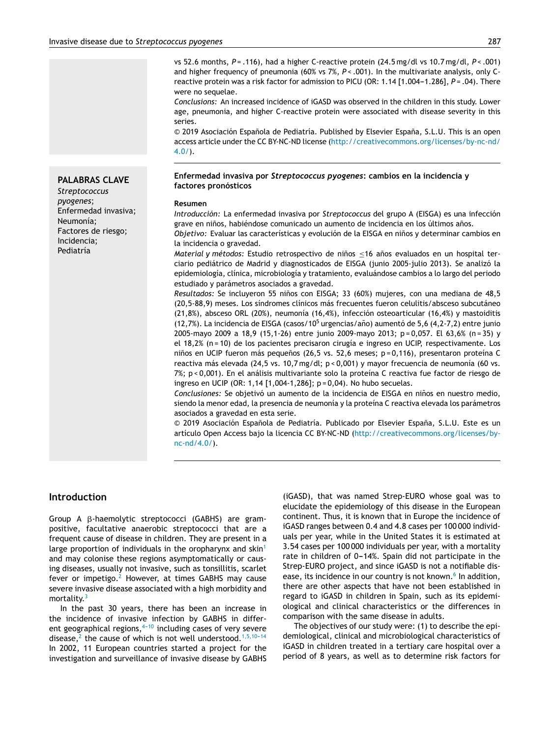vs 52.6 months, *P* = .116), had a higher C-reactive protein (24.5 mg/dl vs 10.7 mg/dl, *P* < .001) and higher frequency of pneumonia (60% vs 7%, P < .001). In the multivariate analysis, only Creactive protein was a risk factor for admission to PICU (OR: 1.14 [1.004-1.286], P = .04). There were no sequelae.

*Conclusions:* An increased incidence of iGASD was observed in the children in this study. Lower age, pneumonia, and higher C-reactive protein were associated with disease severity in this series.

© 2019 Asociación Española de Pediatría. Published by Elsevier España, S.L.U. This is an open access article under the CC BY-NC-ND license ([http://creativecommons.org/licenses/by-nc-nd/](http://creativecommons.org/licenses/by-nc-nd/4.0/)  $4.0/$ ).

#### **Enfermedad invasiva por** *Streptococcus pyogenes***: cambios en la incidencia y factores pronósticos**

#### **Resumen**

*Introducción:* La enfermedad invasiva por *Streptococcus* del grupo A (EISGA) es una infección grave en niños, habiéndose comunicado un aumento de incidencia en los últimos años.

*Objetivo:* Evaluar las características y evolución de la EISGA en niños y determinar cambios en la incidencia o gravedad.

*Material y métodos*: Estudio retrospectivo de niños <16 años evaluados en un hospital terciario pediátrico de Madrid y diagnosticados de EISGA (junio 2005-julio 2013). Se analizó la epidemiología, clínica, microbiología y tratamiento, evaluándose cambios a lo largo del periodo estudiado y parámetros asociados a gravedad.

*Resultados:* Se incluyeron 55 niños con EISGA; 33 (60%) mujeres, con una mediana de 48,5 (20,5-88,9) meses. Los síndromes clínicos más frecuentes fueron celulitis/absceso subcutáneo (21,8%), absceso ORL (20%), neumonía (16,4%), infección osteoarticular (16,4%) y mastoiditis (12,7%). La incidencia de EISGA (casos/10<sup>5</sup> urgencias/año) aumentó de 5,6 (4,2-7,2) entre junio 2005-mayo 2009 a 18,9 (15,1-26) entre junio 2009-mayo 2013; p = 0,057. El 63,6% (n = 35) y el 18,2% (n = 10) de los pacientes precisaron cirugía e ingreso en UCIP, respectivamente. Los niños en UCIP fueron más pequeños (26,5 vs. 52,6 meses; p=0,116), presentaron proteína C reactiva más elevada (24,5 vs. 10,7 mg/dl; p < 0,001) y mayor frecuencia de neumonía (60 vs. 7%; p < 0,001). En el análisis multivariante solo la proteína C reactiva fue factor de riesgo de ingreso en UCIP (OR: 1,14 [1,004-1,286]; p = 0,04). No hubo secuelas.

Conclusiones: Se objetivó un aumento de la incidencia de EISGA en niños en nuestro medio, siendo la menor edad, la presencia de neumonía y la proteína C reactiva elevada los parámetros asociados a gravedad en esta serie.

 $\odot$  2019 Asociación Española de Pediatría. Publicado por Elsevier España, S.L.U. Este es un artículo Open Access bajo la licencia CC BY-NC-ND [\(http://creativecommons.org/licenses/by](http://creativecommons.org/licenses/by-nc-nd/4.0/)[nc-nd/4.0/](http://creativecommons.org/licenses/by-nc-nd/4.0/)).

#### **Introduction**

Group A β-haemolytic streptococci (GABHS) are grampositive, facultative anaerobic streptococci that are a frequent cause of disease in children. They are present in a large proportion of individuals in the oropharynx and skin<sup>[1](#page-8-0)</sup> and may colonise these regions asymptomatically or causing diseases, usually not invasive, such as tonsillitis, scarlet fever or impetigo.<sup>[2](#page-8-0)</sup> However, at times GABHS may cause severe invasive disease associated with a high morbidity and mortality.<sup>[3](#page-8-0)</sup>

In the past 30 years, there has been an increase in the incidence of invasive infection by GABHS in different geographical regions, $4-10$  including cases of very severe disease,<sup>[2](#page-8-0)</sup> the cause of which is not well understood.<sup>1,5,10-14</sup> In 2002, 11 European countries started a project for the investigation and surveillance of invasive disease by GABHS (iGASD), that was named Strep-EURO whose goal was to elucidate the epidemiology of this disease in the European continent. Thus, it is known that in Europe the incidence of iGASD ranges between 0.4 and 4.8 cases per 100 000 individuals per year, while in the United States it is estimated at 3.54 cases per 100 000 individuals per year, with a mortality rate in children of 0-14%. Spain did not participate in the Strep-EURO project, and since iGASD is not a notifiable dis-ease, its incidence in our country is not known.<sup>[6](#page-8-0)</sup> In addition, there are other aspects that have not been established in regard to iGASD in children in Spain, such as its epidemiological and clinical characteristics or the differences in comparison with the same disease in adults.

The objectives of our study were: (1) to describe the epidemiological, clinical and microbiological characteristics of iGASD in children treated in a tertiary care hospital over a period of 8 years, as well as to determine risk factors for

*Streptococcus pyogenes*; Enfermedad invasiva; Neumonía; Factores de riesgo; Incidencia; Pediatría

**PALABRAS CLAVE**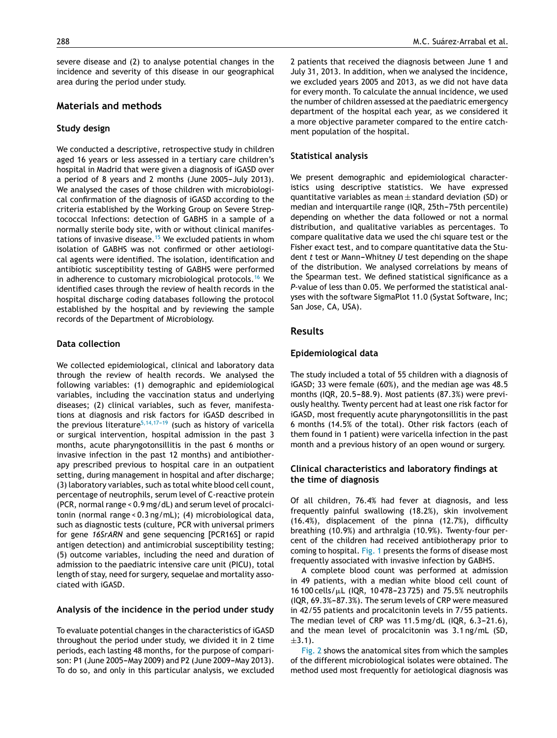severe disease and (2) to analyse potential changes in the incidence and severity of this disease in our geographical area during the period under study.

# **Materials and methods**

#### **Study design**

We conducted a descriptive, retrospective study in children aged 16 years or less assessed in a tertiary care children's hospital in Madrid that were given a diagnosis of iGASD over a period of 8 years and 2 months (June 2005-July 2013). We analysed the cases of those children with microbiological confirmation of the diagnosis of iGASD according to the criteria established by the Working Group on Severe Streptococcal Infections: detection of GABHS in a sample of a normally sterile body site, with or without clinical manifes-tations of invasive disease.<sup>[15](#page-9-0)</sup> We excluded patients in whom isolation of GABHS was not confirmed or other aetiological agents were identified. The isolation, identification and antibiotic susceptibility testing of GABHS were performed in adherence to customary microbiological protocols.<sup>[16](#page-9-0)</sup> We identified cases through the review of health records in the hospital discharge coding databases following the protocol established by the hospital and by reviewing the sample records of the Department of Microbiology.

#### **Data collection**

We collected epidemiological, clinical and laboratory data through the review of health records. We analysed the following variables: (1) demographic and epidemiological variables, including the vaccination status and underlying diseases; (2) clinical variables, such as fever, manifestations at diagnosis and risk factors for iGASD described in the previous literature<sup>5,14,17-19</sup> (such as history of varicella or surgical intervention, hospital admission in the past 3 months, acute pharyngotonsillitis in the past 6 months or invasive infection in the past 12 months) and antibiotherapy prescribed previous to hospital care in an outpatient setting, during management in hospital and after discharge; (3) laboratory variables, such as total white blood cell count, percentage of neutrophils, serum level of C-reactive protein (PCR, normal range < 0.9 mg/dL) and serum level of procalcitonin (normal range < 0.3 ng/mL); (4) microbiological data, such as diagnostic tests (culture, PCR with universal primers for gene *16SrARN* and gene sequencing [PCR16S] or rapid antigen detection) and antimicrobial susceptibility testing; (5) outcome variables, including the need and duration of admission to the paediatric intensive care unit (PICU), total length of stay, need for surgery, sequelae and mortality associated with iGASD.

#### **Analysis of the incidence in the period under study**

To evaluate potential changes in the characteristics of iGASD throughout the period under study, we divided it in 2 time periods, each lasting 48 months, for the purpose of comparison: P1 (June 2005-May 2009) and P2 (June 2009-May 2013). To do so, and only in this particular analysis, we excluded

2 patients that received the diagnosis between June 1 and July 31, 2013. In addition, when we analysed the incidence, we excluded years 2005 and 2013, as we did not have data for every month. To calculate the annual incidence, we used the number of children assessed at the paediatric emergency department of the hospital each year, as we considered it a more objective parameter compared to the entire catchment population of the hospital.

#### **Statistical analysis**

We present demographic and epidemiological characteristics using descriptive statistics. We have expressed quantitative variables as mean  $\pm$  standard deviation (SD) or median and interquartile range (IQR, 25th-75th percentile) depending on whether the data followed or not a normal distribution, and qualitative variables as percentages. To compare qualitative data we used the chi square test or the Fisher exact test, and to compare quantitative data the Student *t* test or Mann-Whitney *U* test depending on the shape of the distribution. We analysed correlations by means of the Spearman test. We defined statistical significance as a *P*-value of less than 0.05. We performed the statistical analyses with the software SigmaPlot 11.0 (Systat Software, Inc; San Jose, CA, USA).

# **Results**

#### **Epidemiological data**

The study included a total of 55 children with a diagnosis of iGASD; 33 were female (60%), and the median age was 48.5 months (IQR,  $20.5-88.9$ ). Most patients (87.3%) were previously healthy. Twenty percent had at least one risk factor for iGASD, most frequently acute pharyngotonsillitis in the past 6 months (14.5% of the total). Other risk factors (each of them found in 1 patient) were varicella infection in the past month and a previous history of an open wound or surgery.

# **Clinical characteristics and laboratory findings at the time of diagnosis**

Of all children, 76.4% had fever at diagnosis, and less frequently painful swallowing (18.2%), skin involvement (16.4%), displacement of the pinna (12.7%), difficulty breathing (10.9%) and arthralgia (10.9%). Twenty-four percent of the children had received antibiotherapy prior to coming to hospital. [Fig.](#page-3-0) 1 presents the forms of disease most frequently associated with invasive infection by GABHS.

A complete blood count was performed at admission in 49 patients, with a median white blood cell count of  $16 100$  cells/ $\mu$ L (IQR, 10 478-23 725) and 75.5% neutrophils (IQR, 69.3%-87.3%). The serum levels of CRP were measured in 42/55 patients and procalcitonin levels in 7/55 patients. The median level of CRP was  $11.5 \text{ mg/dL}$  (IQR, 6.3-21.6), and the mean level of procalcitonin was 3.1 ng/mL (SD,  $+3.1$ ).

[Fig.](#page-3-0) 2 shows the anatomical sites from which the samples of the different microbiological isolates were obtained. The method used most frequently for aetiological diagnosis was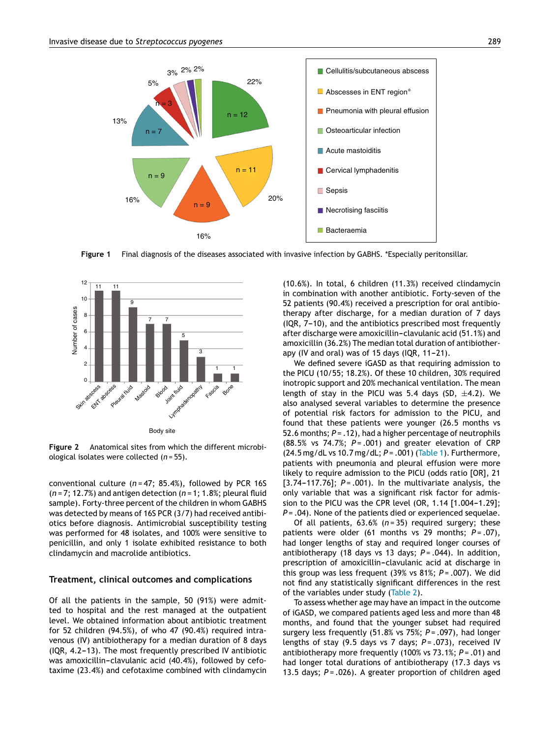<span id="page-3-0"></span>

**Figure 1** Final diagnosis of the diseases associated with invasive infection by GABHS. \*Especially peritonsillar.



**Figure 2** Anatomical sites from which the different microbiological isolates were collected (*n* = 55).

conventional culture (*n* = 47; 85.4%), followed by PCR 16S (*n* = 7; 12.7%) and antigen detection (*n* = 1; 1.8%; pleural fluid sample). Forty-three percent of the children in whom GABHS was detected by means of 16S PCR (3/7) had received antibiotics before diagnosis. Antimicrobial susceptibility testing was performed for 48 isolates, and 100% were sensitive to penicillin, and only 1 isolate exhibited resistance to both clindamycin and macrolide antibiotics.

#### **Treatment, clinical outcomes and complications**

Of all the patients in the sample, 50 (91%) were admitted to hospital and the rest managed at the outpatient level. We obtained information about antibiotic treatment for 52 children (94.5%), of who 47 (90.4%) required intravenous (IV) antibiotherapy for a median duration of 8 days  $(1QR, 4.2-13)$ . The most frequently prescribed IV antibiotic was amoxicillin-clavulanic acid (40.4%), followed by cefotaxime (23.4%) and cefotaxime combined with clindamycin (10.6%). In total, 6 children (11.3%) received clindamycin in combination with another antibiotic. Forty-seven of the 52 patients (90.4%) received a prescription for oral antibiotherapy after discharge, for a median duration of 7 days  $(1QR, 7-10)$ , and the antibiotics prescribed most frequently after discharge were amoxicillin-clavulanic acid (51.1%) and amoxicillin (36.2%) The median total duration of antibiotherapy (IV and oral) was of 15 days (IQR,  $11-21$ ).

We defined severe iGASD as that requiring admission to the PICU (10/55; 18.2%). Of these 10 children, 30% required inotropic support and 20% mechanical ventilation. The mean length of stay in the PICU was 5.4 days (SD,  $\pm$ 4.2). We also analysed several variables to determine the presence of potential risk factors for admission to the PICU, and found that these patients were younger (26.5 months vs 52.6 months; *P* = .12), had a higher percentage of neutrophils (88.5% vs 74.7%; *P* = .001) and greater elevation of CRP (24.5 mg/dL vs 10.7 mg/dL; *P* = .001) [\(Table](#page-4-0) 1). Furthermore, patients with pneumonia and pleural effusion were more likely to require admission to the PICU (odds ratio [OR], 21 [3.74-117.76];  $P = .001$ ). In the multivariate analysis, the only variable that was a significant risk factor for admission to the PICU was the CPR level (OR,  $1.14$   $[1.004 - 1.29]$ ; *P* = .04). None of the patients died or experienced sequelae.

Of all patients, 63.6% (*n* = 35) required surgery; these patients were older (61 months vs 29 months; P = .07), had longer lengths of stay and required longer courses of antibiotherapy (18 days vs 13 days; *P* = .044). In addition, prescription of amoxicillin-clavulanic acid at discharge in this group was less frequent (39% vs 81%; *P* = .007). We did not find any statistically significant differences in the rest of the variables under study [\(Table](#page-5-0) 2).

To assess whether age may have an impact in the outcome of iGASD, we compared patients aged less and more than 48 months, and found that the younger subset had required surgery less frequently (51.8% vs 75%; *P* = .097), had longer lengths of stay (9.5 days vs 7 days; *P* = .073), received IV antibiotherapy more frequently (100% vs 73.1%; *P* = .01) and had longer total durations of antibiotherapy (17.3 days vs 13.5 days; *P* = .026). A greater proportion of children aged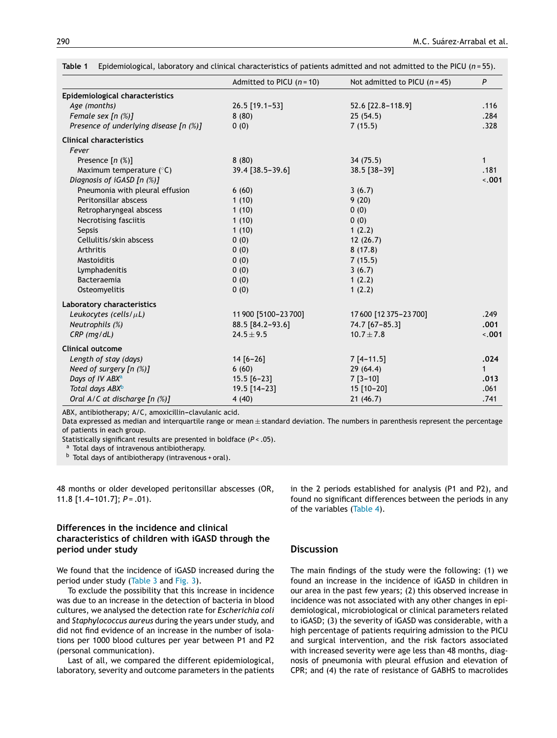|                                        | Admitted to PICU $(n = 10)$ | Not admitted to PICU $(n=45)$ | P            |
|----------------------------------------|-----------------------------|-------------------------------|--------------|
| Epidemiological characteristics        |                             |                               |              |
| Age (months)                           | 26.5 [19.1-53]              | 52.6 [22.8-118.9]             | .116         |
| Female sex [n (%)]                     | 8(80)                       | 25(54.5)                      | .284         |
| Presence of underlying disease [n (%)] | 0(0)                        | 7(15.5)                       | .328         |
| <b>Clinical characteristics</b>        |                             |                               |              |
| Fever                                  |                             |                               |              |
| Presence $[n (%)]$                     | 8(80)                       | 34(75.5)                      | $\mathbf{1}$ |
| Maximum temperature $(°C)$             | 39.4 [38.5-39.6]            | $38.5$ [ $38-39$ ]            | .181         |
| Diagnosis of iGASD [n (%)]             |                             |                               | 3.001        |
| Pneumonia with pleural effusion        | 6(60)                       | 3(6.7)                        |              |
| Peritonsillar abscess                  | 1(10)                       | 9(20)                         |              |
| Retropharyngeal abscess                | 1(10)                       | 0(0)                          |              |
| Necrotising fasciitis                  | 1(10)                       | 0(0)                          |              |
| Sepsis                                 | 1(10)                       | 1(2.2)                        |              |
| Cellulitis/skin abscess                | 0(0)                        | 12(26.7)                      |              |
| Arthritis                              | 0(0)                        | 8(17.8)                       |              |
| Mastoiditis                            | 0(0)                        | 7(15.5)                       |              |
| Lymphadenitis                          | 0(0)                        | 3(6.7)                        |              |
| Bacteraemia                            | 0(0)                        | 1(2.2)                        |              |
| Osteomyelitis                          | 0(0)                        | 1(2.2)                        |              |
| Laboratory characteristics             |                             |                               |              |
| Leukocytes (cells/ $\mu$ L)            | 11 900 [5100-23 700]        | 17600 [12 375 - 23 700]       | .249         |
| Neutrophils (%)                        | 88.5 [84.2-93.6]            | 74.7 [67-85.3]                | .001         |
| $CRP$ (mg/dL)                          | $24.5 \pm 9.5$              | $10.7 \pm 7.8$                | $-.001$      |
| <b>Clinical outcome</b>                |                             |                               |              |
| Length of stay (days)                  | $14 [6 - 26]$               | $7[4-11.5]$                   | .024         |
| Need of surgery $[n \ (\%)]$           | 6(60)                       | 29(64.4)                      | $\mathbf{1}$ |
| Days of IV ABX <sup>a</sup>            | $15.5$ [6-23]               | $7 [3 - 10]$                  | .013         |
| Total days ABX <sup>b</sup>            | 19.5 [14-23]                | 15 [10-20]                    | .061         |
| Oral A/C at discharge [n (%)]          | 4(40)                       | 21(46.7)                      | .741         |

<span id="page-4-0"></span>

| Table 1 |  |  |  |  | Epidemiological, laboratory and clinical characteristics of patients admitted and not admitted to the PICU ( $n=55$ ). |  |
|---------|--|--|--|--|------------------------------------------------------------------------------------------------------------------------|--|
|---------|--|--|--|--|------------------------------------------------------------------------------------------------------------------------|--|

ABX, antibiotherapy; A/C, amoxicillin-clavulanic acid.

Data expressed as median and interquartile range or mean ± standard deviation. The numbers in parenthesis represent the percentage of patients in each group.

Statistically significant results are presented in boldface (*P* < .05).

a Total days of intravenous antibiotherapy.

b Total days of antibiotherapy (intravenous + oral).

48 months or older developed peritonsillar abscesses (OR, 11.8  $[1.4-101.7]$ ;  $P = .01$ ).

# **Differences in the incidence and clinical characteristics of children with iGASD through the period under study**

We found that the incidence of iGASD increased during the period under study ([Table](#page-6-0) 3 and [Fig.](#page-6-0) 3).

To exclude the possibility that this increase in incidence was due to an increase in the detection of bacteria in blood cultures, we analysed the detection rate for *Escherichia coli* and *Staphylococcus aureus* during the years under study, and did not find evidence of an increase in the number of isolations per 1000 blood cultures per year between P1 and P2 (personal communication).

Last of all, we compared the different epidemiological, laboratory, severity and outcome parameters in the patients

in the 2 periods established for analysis (P1 and P2), and found no significant differences between the periods in any of the variables ([Table](#page-7-0) 4).

# **Discussion**

The main findings of the study were the following: (1) we found an increase in the incidence of iGASD in children in our area in the past few years; (2) this observed increase in incidence was not associated with any other changes in epidemiological, microbiological or clinical parameters related to iGASD; (3) the severity of iGASD was considerable, with a high percentage of patients requiring admission to the PICU and surgical intervention, and the risk factors associated with increased severity were age less than 48 months, diagnosis of pneumonia with pleural effusion and elevation of CPR; and (4) the rate of resistance of GABHS to macrolides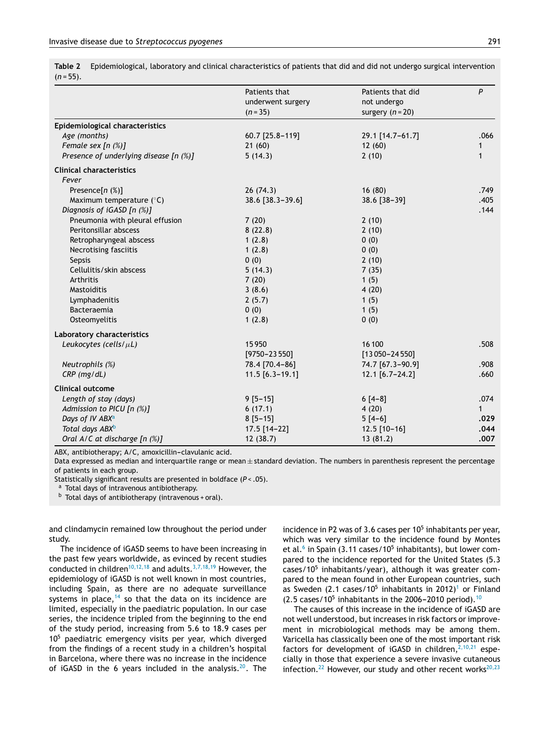<span id="page-5-0"></span>**Table 2** Epidemiological, laboratory and clinical characteristics of patients that did and did not undergo surgical intervention (*n* = 55).

|                                        | Patients that<br>underwent surgery<br>$(n = 35)$ | Patients that did<br>not undergo<br>surgery $(n = 20)$ | P            |
|----------------------------------------|--------------------------------------------------|--------------------------------------------------------|--------------|
| Epidemiological characteristics        |                                                  |                                                        |              |
| Age (months)                           | 60.7 [25.8-119]                                  | 29.1 [14.7-61.7]                                       | .066         |
| Female sex $[n (%)]$                   | 21(60)                                           | 12(60)                                                 | 1            |
| Presence of underlying disease [n (%)] | 5(14.3)                                          | 2(10)                                                  | $\mathbf{1}$ |
| <b>Clinical characteristics</b>        |                                                  |                                                        |              |
| Fever                                  |                                                  |                                                        |              |
| Presence $[n (%)]$                     | 26(74.3)                                         | 16(80)                                                 | .749         |
| Maximum temperature $(^{\circ}C)$      | 38.6 [38.3-39.6]                                 | 38.6 [38-39]                                           | .405         |
| Diagnosis of iGASD [n (%)]             |                                                  |                                                        | .144         |
| Pneumonia with pleural effusion        | 7(20)                                            | 2(10)                                                  |              |
| Peritonsillar abscess                  | 8(22.8)                                          | 2(10)                                                  |              |
| Retropharyngeal abscess                | 1(2.8)                                           | 0(0)                                                   |              |
| Necrotising fasciitis                  | 1(2.8)                                           | 0(0)                                                   |              |
| Sepsis                                 | 0(0)                                             | 2(10)                                                  |              |
| Cellulitis/skin abscess                | 5(14.3)                                          | 7(35)                                                  |              |
| Arthritis                              | 7(20)                                            | 1(5)                                                   |              |
| Mastoiditis                            | 3(8.6)                                           | 4(20)                                                  |              |
| Lymphadenitis                          | 2(5.7)                                           | 1(5)                                                   |              |
| Bacteraemia                            | 0(0)                                             | 1(5)                                                   |              |
| Osteomyelitis                          | 1(2.8)                                           | 0(0)                                                   |              |
| <b>Laboratory characteristics</b>      |                                                  |                                                        |              |
| Leukocytes (cells/ $\mu$ L)            | 15950                                            | 16 100                                                 | .508         |
|                                        | $[9750 - 23550]$                                 | $[13050 - 24550]$                                      |              |
| Neutrophils (%)                        | 78.4 [70.4-86]                                   | 74.7 [67.3-90.9]                                       | .908         |
| $CRP$ (mg/dL)                          | $11.5 [6.3 - 19.1]$                              | 12.1 [6.7-24.2]                                        | .660         |
| <b>Clinical outcome</b>                |                                                  |                                                        |              |
| Length of stay (days)                  | $9 [5 - 15]$                                     | $6[4-8]$                                               | .074         |
| Admission to PICU [n (%)]              | 6(17.1)                                          | 4(20)                                                  | 1            |
| Days of IV ABX <sup>a</sup>            | $8 [5 - 15]$                                     | $5[4-6]$                                               | .029         |
| Total days ABX <sup>b</sup>            | 17.5 [14-22]                                     | $12.5$ [10-16]                                         | .044         |
| Oral A/C at discharge [n (%)]          | 12(38.7)                                         | 13(81.2)                                               | .007         |

ABX, antibiotherapy; A/C, amoxicillin-clavulanic acid.

Data expressed as median and interquartile range or mean ± standard deviation. The numbers in parenthesis represent the percentage of patients in each group.

Statistically significant results are presented in boldface (*P* < .05).

a Total days of intravenous antibiotherapy.

b Total days of antibiotherapy (intravenous + oral).

and clindamycin remained low throughout the period under study.

The incidence of iGASD seems to have been increasing in the past few years worldwide, as evinced by recent studies conducted in children<sup>[10,12,18](#page-8-0)</sup> and adults.<sup>[3,7,18,19](#page-8-0)</sup> However, the epidemiology of iGASD is not well known in most countries, including Spain, as there are no adequate surveillance systems in place, $14$  so that the data on its incidence are limited, especially in the paediatric population. In our case series, the incidence tripled from the beginning to the end of the study period, increasing from 5.6 to 18.9 cases per 10<sup>5</sup> paediatric emergency visits per year, which diverged from the findings of a recent study in a children's hospital in Barcelona, where there was no increase in the incidence of iGASD in the 6 years included in the analysis.<sup>[20](#page-9-0)</sup>. The

incidence in P2 was of 3.6 cases per  $10<sup>5</sup>$  inhabitants per year, which was very similar to the incidence found by Montes et al.<sup>[6](#page-8-0)</sup> in Spain (3.11 cases/10<sup>5</sup> inhabitants), but lower compared to the incidence reported for the United States (5.3 cases/10<sup>5</sup> inhabitants/year), although it was greater compared to the mean found in other European countries, such as Sweden (2.[1](#page-8-0) cases/10<sup>5</sup> inhabitants in 2012)<sup>1</sup> or Finland  $(2.5 \text{ cases}/10^5 \text{ inhabitants in the } 2006-2010 \text{ period}).$  $(2.5 \text{ cases}/10^5 \text{ inhabitants in the } 2006-2010 \text{ period}).$  $(2.5 \text{ cases}/10^5 \text{ inhabitants in the } 2006-2010 \text{ period}).$ <sup>10</sup>

The causes of this increase in the incidence of iGASD are not well understood, but increases in risk factors or improvement in microbiological methods may be among them. Varicella has classically been one of the most important risk factors for development of iGASD in children,  $2,10,21$  especially in those that experience a severe invasive cutaneous infection. $^{22}$  $^{22}$  $^{22}$  However, our study and other recent works $^{20,23}$  $^{20,23}$  $^{20,23}$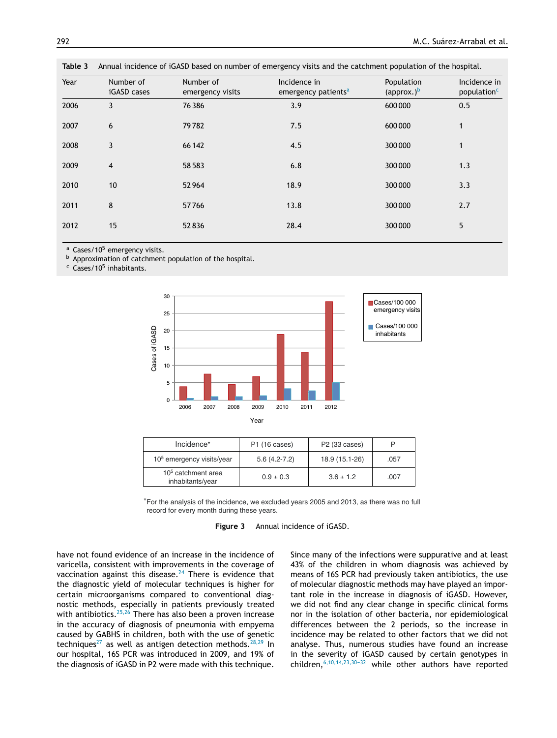| Year | Number of<br>iGASD cases | Number of<br>emergency visits | Incidence in<br>emergency patients <sup>a</sup> | Population<br>(approx.) $b$ | Incidence in<br>population <sup>c</sup> |
|------|--------------------------|-------------------------------|-------------------------------------------------|-----------------------------|-----------------------------------------|
| 2006 | 3                        | 76386                         | 3.9                                             | 600000                      | 0.5                                     |
| 2007 | 6                        | 79782                         | 7.5                                             | 600000                      | $\mathbf{1}$                            |
| 2008 | 3                        | 66 142                        | 4.5                                             | 300 000                     | $\mathbf{1}$                            |
| 2009 | 4                        | 58583                         | 6.8                                             | 300 000                     | 1.3                                     |
| 2010 | 10                       | 52964                         | 18.9                                            | 300 000                     | 3.3                                     |
| 2011 | 8                        | 57766                         | 13.8                                            | 300 000                     | 2.7                                     |
| 2012 | 15                       | 52836                         | 28.4                                            | 300 000                     | 5                                       |

<span id="page-6-0"></span>**Table 3** Annual incidence of iGASD based on number of emergency visits and the catchment population of the hospital.

 $a$  Cases/10<sup>5</sup> emergency visits.

b Approximation of catchment population of the hospital.

<sup>c</sup> Cases/10<sup>5</sup> inhabitants.



| Incidence*                                         | P1 (16 cases)  | P2 (33 cases)  |      |
|----------------------------------------------------|----------------|----------------|------|
| $105$ emergency visits/year                        | $5.6(4.2-7.2)$ | 18.9 (15.1-26) | .057 |
| 10 <sup>5</sup> catchment area<br>inhabitants/year | $0.9 \pm 0.3$  | $3.6 \pm 1.2$  | .007 |

<sup>∗</sup>For the analysis of the incidence, we excluded years 2005 and 2013, as there was no full record for every month during these years.

**Figure 3** Annual incidence of iGASD.

have not found evidence of an increase in the incidence of varicella, consistent with improvements in the coverage of vaccination against this disease. $24$  There is evidence that the diagnostic yield of molecular techniques is higher for certain microorganisms compared to conventional diagnostic methods, especially in patients previously treated with antibiotics.<sup>[25,26](#page-9-0)</sup> There has also been a proven increase in the accuracy of diagnosis of pneumonia with empyema caused by GABHS in children, both with the use of genetic techniques<sup>[27](#page-9-0)</sup> as well as antigen detection methods.<sup>[28,29](#page-9-0)</sup> In our hospital, 16S PCR was introduced in 2009, and 19% of the diagnosis of iGASD in P2 were made with this technique. Since many of the infections were suppurative and at least 43% of the children in whom diagnosis was achieved by means of 16S PCR had previously taken antibiotics, the use of molecular diagnostic methods may have played an important role in the increase in diagnosis of iGASD. However, we did not find any clear change in specific clinical forms nor in the isolation of other bacteria, nor epidemiological differences between the 2 periods, so the increase in incidence may be related to other factors that we did not analyse. Thus, numerous studies have found an increase in the severity of iGASD caused by certain genotypes in children,  $6,10,14,23,30-32$  while other authors have reported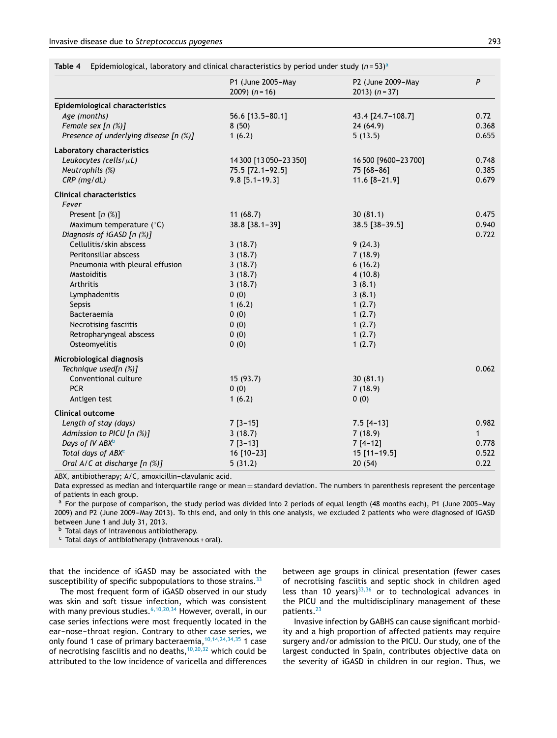<span id="page-7-0"></span>

|  | Table 4 Epidemiological, laboratory and clinical characteristics by period under study $(n=53)^a$ |  |  |  |  |  |
|--|---------------------------------------------------------------------------------------------------|--|--|--|--|--|
|--|---------------------------------------------------------------------------------------------------|--|--|--|--|--|

|                                                 | P1 (June 2005-May<br>2009) $(n = 16)$ | P2 (June 2009-May<br>2013) $(n=37)$ | P            |
|-------------------------------------------------|---------------------------------------|-------------------------------------|--------------|
|                                                 |                                       |                                     |              |
| Epidemiological characteristics<br>Age (months) | 56.6 [13.5-80.1]                      | 43.4 [24.7-108.7]                   | 0.72         |
| Female sex [n (%)]                              | 8(50)                                 | 24(64.9)                            | 0.368        |
| Presence of underlying disease [n (%)]          | 1(6.2)                                | 5(13.5)                             | 0.655        |
| <b>Laboratory characteristics</b>               |                                       |                                     |              |
| Leukocytes (cells/ $\mu$ L)                     | 14 300 [13 050-23 350]                | 16 500 [9600-23 700]                | 0.748        |
| Neutrophils (%)                                 | 75.5 [72.1-92.5]                      | 75 [68-86]                          | 0.385        |
| $CRP$ (mg/dL)                                   | $9.8$ [5.1-19.3]                      | 11.6 [8-21.9]                       | 0.679        |
| <b>Clinical characteristics</b>                 |                                       |                                     |              |
| Fever                                           |                                       |                                     |              |
| Present $[n (%)]$                               | 11(68.7)                              | 30(81.1)                            | 0.475        |
| Maximum temperature $(^{\circ}C)$               | 38.8 [38.1-39]                        | 38.5 [38-39.5]                      | 0.940        |
| Diagnosis of iGASD [n (%)]                      |                                       |                                     | 0.722        |
| Cellulitis/skin abscess                         | 3(18.7)                               | 9(24.3)                             |              |
| Peritonsillar abscess                           | 3(18.7)                               | 7(18.9)                             |              |
| Pneumonia with pleural effusion                 | 3(18.7)                               | 6(16.2)                             |              |
| <b>Mastoiditis</b>                              | 3(18.7)                               | 4(10.8)                             |              |
| Arthritis                                       | 3(18.7)                               | 3(8.1)                              |              |
| Lymphadenitis                                   | 0(0)                                  | 3(8.1)                              |              |
| Sepsis                                          | 1(6.2)                                | 1(2.7)                              |              |
| Bacteraemia                                     | 0(0)                                  | 1(2.7)                              |              |
| Necrotising fasciitis                           | 0(0)                                  | 1(2.7)                              |              |
| Retropharyngeal abscess                         | 0(0)                                  | 1(2.7)                              |              |
| Osteomyelitis                                   | 0(0)                                  | 1(2.7)                              |              |
| Microbiological diagnosis                       |                                       |                                     |              |
| Technique used[n (%)]                           |                                       |                                     | 0.062        |
| Conventional culture                            | 15 (93.7)                             | 30(81.1)                            |              |
| <b>PCR</b>                                      | 0(0)                                  | 7(18.9)                             |              |
| Antigen test                                    | 1(6.2)                                | 0(0)                                |              |
| <b>Clinical outcome</b>                         |                                       |                                     |              |
| Length of stay (days)                           | $7[3-15]$                             | $7.5$ [4-13]                        | 0.982        |
| Admission to PICU [n (%)]                       | 3(18.7)                               | 7(18.9)                             | $\mathbf{1}$ |
| Days of IV ABX <sup>b</sup>                     | $7[3-13]$                             | $7[4-12]$                           | 0.778        |
| Total days of ABXC                              | 16 [10-23]                            | 15 [11-19.5]                        | 0.522        |
| Oral A/C at discharge [n (%)]                   | 5(31.2)                               | 20(54)                              | 0.22         |

ABX, antibiotherapy; A/C, amoxicillin-clavulanic acid.

Data expressed as median and interquartile range or mean $\pm$  standard deviation. The numbers in parenthesis represent the percentage of patients in each group.

For the purpose of comparison, the study period was divided into 2 periods of equal length (48 months each), P1 (June 2005-May 2009) and P2 (June 2009-May 2013). To this end, and only in this one analysis, we excluded 2 patients who were diagnosed of iGASD between June 1 and July 31, 2013.

<sup>b</sup> Total days of intravenous antibiotherapy.

 $c$  Total days of antibiotherapy (intravenous + oral).

that the incidence of iGASD may be associated with the susceptibility of specific subpopulations to those strains.<sup>[33](#page-9-0)</sup>

The most frequent form of iGASD observed in our study was skin and soft tissue infection, which was consistent with many previous studies. $6,10,20,34$  However, overall, in our case series infections were most frequently located in the ear-nose-throat region. Contrary to other case series, we only found 1 case of primary bacteraemia,  $10,14,24,34,35$  1 case of necrotising fasciitis and no deaths, $10,20,32$  which could be attributed to the low incidence of varicella and differences

between age groups in clinical presentation (fewer cases of necrotising fasciitis and septic shock in children aged less than 10 years) $33,36$  or to technological advances in the PICU and the multidisciplinary management of these patients.<sup>[23](#page-9-0)</sup>

Invasive infection by GABHS can cause significant morbidity and a high proportion of affected patients may require surgery and/or admission to the PICU. Our study, one of the largest conducted in Spain, contributes objective data on the severity of iGASD in children in our region. Thus, we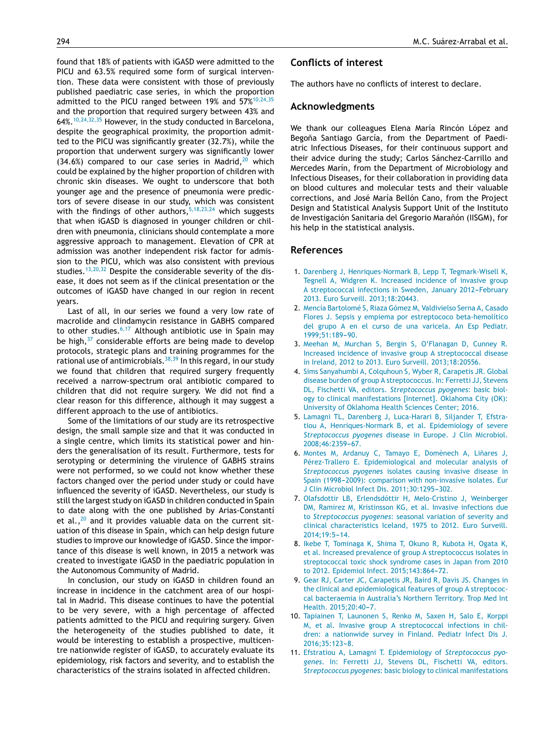<span id="page-8-0"></span>found that 18% of patients with iGASD were admitted to the PICU and 63.5% required some form of surgical intervention. These data were consistent with those of previously published paediatric case series, in which the proportion admitted to the PICU ranged between 19% and  $57\%^{10,24,35}$ and the proportion that required surgery between 43% and 64%.10,24,32,35 However, in the study conducted in Barcelona, despite the geographical proximity, the proportion admitted to the PICU was significantly greater (32.7%), while the proportion that underwent surgery was significantly lower  $(34.6%)$  compared to our case series in Madrid,<sup>[20](#page-9-0)</sup> which could be explained by the higher proportion of children with chronic skin diseases. We ought to underscore that both younger age and the presence of pneumonia were predictors of severe disease in our study, which was consistent with the findings of other authors,  $5,18,23,24$  which suggests that when iGASD is diagnosed in younger children or children with pneumonia, clinicians should contemplate a more aggressive approach to management. Elevation of CPR at admission was another independent risk factor for admission to the PICU, which was also consistent with previous studies.<sup>[13,20,32](#page-9-0)</sup> Despite the considerable severity of the disease, it does not seem as if the clinical presentation or the outcomes of iGASD have changed in our region in recent years.

Last of all, in our series we found a very low rate of macrolide and clindamycin resistance in GABHS compared to other studies. $6,17$  Although antibiotic use in Spain may be high, $37$  considerable efforts are being made to develop protocols, strategic plans and training programmes for the rational use of antimicrobials.[38,39](#page-9-0) In this regard, in our study we found that children that required surgery frequently received a narrow-spectrum oral antibiotic compared to children that did not require surgery. We did not find a clear reason for this difference, although it may suggest a different approach to the use of antibiotics.

Some of the limitations of our study are its retrospective design, the small sample size and that it was conducted in a single centre, which limits its statistical power and hinders the generalisation of its result. Furthermore, tests for serotyping or determining the virulence of GABHS strains were not performed, so we could not know whether these factors changed over the period under study or could have influenced the severity of iGASD. Nevertheless, our study is still the largest study on iGASD in children conducted in Spain to date along with the one published by Arias-Constantí et al., $^{20}$  $^{20}$  $^{20}$  and it provides valuable data on the current situation of this disease in Spain, which can help design future studies to improve our knowledge of iGASD. Since the importance of this disease is well known, in 2015 a network was created to investigate iGASD in the paediatric population in the Autonomous Community of Madrid.

In conclusion, our study on iGASD in children found an increase in incidence in the catchment area of our hospital in Madrid. This disease continues to have the potential to be very severe, with a high percentage of affected patients admitted to the PICU and requiring surgery. Given the heterogeneity of the studies published to date, it would be interesting to establish a prospective, multicentre nationwide register of iGASD, to accurately evaluate its epidemiology, risk factors and severity, and to establish the characteristics of the strains isolated in affected children.

### **Conflicts of interest**

The authors have no conflicts of interest to declare.

#### **Acknowledgments**

We thank our colleagues Elena María Rincón López and Begoña Santiago García, from the Department of Paediatric Infectious Diseases, for their continuous support and their advice during the study; Carlos Sánchez-Carrillo and Mercedes Marín, from the Department of Microbiology and Infectious Diseases, for their collaboration in providing data on blood cultures and molecular tests and their valuable corrections, and José María Bellón Cano, from the Project Design and Statistical Analysis Support Unit of the Instituto de Investigación Sanitaria del Gregorio Marañón (IISGM), for his help in the statistical analysis.

#### **References**

- 1. [Darenberg](http://refhub.elsevier.com/S2341-2879(19)30154-1/sbref0200) [J,](http://refhub.elsevier.com/S2341-2879(19)30154-1/sbref0200) [Henriques-Normark](http://refhub.elsevier.com/S2341-2879(19)30154-1/sbref0200) [B,](http://refhub.elsevier.com/S2341-2879(19)30154-1/sbref0200) [Lepp](http://refhub.elsevier.com/S2341-2879(19)30154-1/sbref0200) [T,](http://refhub.elsevier.com/S2341-2879(19)30154-1/sbref0200) [Tegmark-Wisell](http://refhub.elsevier.com/S2341-2879(19)30154-1/sbref0200) [K,](http://refhub.elsevier.com/S2341-2879(19)30154-1/sbref0200) [Tegnell](http://refhub.elsevier.com/S2341-2879(19)30154-1/sbref0200) [A,](http://refhub.elsevier.com/S2341-2879(19)30154-1/sbref0200) [Widgren](http://refhub.elsevier.com/S2341-2879(19)30154-1/sbref0200) [K.](http://refhub.elsevier.com/S2341-2879(19)30154-1/sbref0200) [Increased](http://refhub.elsevier.com/S2341-2879(19)30154-1/sbref0200) [incidence](http://refhub.elsevier.com/S2341-2879(19)30154-1/sbref0200) [of](http://refhub.elsevier.com/S2341-2879(19)30154-1/sbref0200) [invasive](http://refhub.elsevier.com/S2341-2879(19)30154-1/sbref0200) [group](http://refhub.elsevier.com/S2341-2879(19)30154-1/sbref0200) [A](http://refhub.elsevier.com/S2341-2879(19)30154-1/sbref0200) [streptococcal](http://refhub.elsevier.com/S2341-2879(19)30154-1/sbref0200) [infections](http://refhub.elsevier.com/S2341-2879(19)30154-1/sbref0200) [in](http://refhub.elsevier.com/S2341-2879(19)30154-1/sbref0200) [Sweden,](http://refhub.elsevier.com/S2341-2879(19)30154-1/sbref0200) [January](http://refhub.elsevier.com/S2341-2879(19)30154-1/sbref0200) 2012-February [2013.](http://refhub.elsevier.com/S2341-2879(19)30154-1/sbref0200) [Euro](http://refhub.elsevier.com/S2341-2879(19)30154-1/sbref0200) [Surveill.](http://refhub.elsevier.com/S2341-2879(19)30154-1/sbref0200) [2013;18:20443.](http://refhub.elsevier.com/S2341-2879(19)30154-1/sbref0200)
- 2. [Mencía](http://refhub.elsevier.com/S2341-2879(19)30154-1/sbref0205) [Bartolomé](http://refhub.elsevier.com/S2341-2879(19)30154-1/sbref0205) [S,](http://refhub.elsevier.com/S2341-2879(19)30154-1/sbref0205) [Riaza](http://refhub.elsevier.com/S2341-2879(19)30154-1/sbref0205) [Gómez](http://refhub.elsevier.com/S2341-2879(19)30154-1/sbref0205) [M,](http://refhub.elsevier.com/S2341-2879(19)30154-1/sbref0205) [Valdivielso](http://refhub.elsevier.com/S2341-2879(19)30154-1/sbref0205) [Serna](http://refhub.elsevier.com/S2341-2879(19)30154-1/sbref0205) [A,](http://refhub.elsevier.com/S2341-2879(19)30154-1/sbref0205) [Casado](http://refhub.elsevier.com/S2341-2879(19)30154-1/sbref0205) [Flores](http://refhub.elsevier.com/S2341-2879(19)30154-1/sbref0205) [J.](http://refhub.elsevier.com/S2341-2879(19)30154-1/sbref0205) [Sepsis](http://refhub.elsevier.com/S2341-2879(19)30154-1/sbref0205) [y](http://refhub.elsevier.com/S2341-2879(19)30154-1/sbref0205) [empiema](http://refhub.elsevier.com/S2341-2879(19)30154-1/sbref0205) [por](http://refhub.elsevier.com/S2341-2879(19)30154-1/sbref0205) [estreptococo](http://refhub.elsevier.com/S2341-2879(19)30154-1/sbref0205) [beta-hemolítico](http://refhub.elsevier.com/S2341-2879(19)30154-1/sbref0205) [del](http://refhub.elsevier.com/S2341-2879(19)30154-1/sbref0205) [grupo](http://refhub.elsevier.com/S2341-2879(19)30154-1/sbref0205) [A](http://refhub.elsevier.com/S2341-2879(19)30154-1/sbref0205) [en](http://refhub.elsevier.com/S2341-2879(19)30154-1/sbref0205) [el](http://refhub.elsevier.com/S2341-2879(19)30154-1/sbref0205) [curso](http://refhub.elsevier.com/S2341-2879(19)30154-1/sbref0205) [de](http://refhub.elsevier.com/S2341-2879(19)30154-1/sbref0205) [una](http://refhub.elsevier.com/S2341-2879(19)30154-1/sbref0205) [varicela.](http://refhub.elsevier.com/S2341-2879(19)30154-1/sbref0205) [An](http://refhub.elsevier.com/S2341-2879(19)30154-1/sbref0205) [Esp](http://refhub.elsevier.com/S2341-2879(19)30154-1/sbref0205) [Pediatr.](http://refhub.elsevier.com/S2341-2879(19)30154-1/sbref0205) 1999;51:189-90.
- 3. [Meehan](http://refhub.elsevier.com/S2341-2879(19)30154-1/sbref0210) [M,](http://refhub.elsevier.com/S2341-2879(19)30154-1/sbref0210) [Murchan](http://refhub.elsevier.com/S2341-2879(19)30154-1/sbref0210) [S,](http://refhub.elsevier.com/S2341-2879(19)30154-1/sbref0210) [Bergin](http://refhub.elsevier.com/S2341-2879(19)30154-1/sbref0210) [S,](http://refhub.elsevier.com/S2341-2879(19)30154-1/sbref0210) [O'Flanagan](http://refhub.elsevier.com/S2341-2879(19)30154-1/sbref0210) [D,](http://refhub.elsevier.com/S2341-2879(19)30154-1/sbref0210) [Cunney](http://refhub.elsevier.com/S2341-2879(19)30154-1/sbref0210) [R.](http://refhub.elsevier.com/S2341-2879(19)30154-1/sbref0210) [Increased](http://refhub.elsevier.com/S2341-2879(19)30154-1/sbref0210) [incidence](http://refhub.elsevier.com/S2341-2879(19)30154-1/sbref0210) [of](http://refhub.elsevier.com/S2341-2879(19)30154-1/sbref0210) [invasive](http://refhub.elsevier.com/S2341-2879(19)30154-1/sbref0210) [group](http://refhub.elsevier.com/S2341-2879(19)30154-1/sbref0210) [A](http://refhub.elsevier.com/S2341-2879(19)30154-1/sbref0210) [streptococcal](http://refhub.elsevier.com/S2341-2879(19)30154-1/sbref0210) [disease](http://refhub.elsevier.com/S2341-2879(19)30154-1/sbref0210) [in](http://refhub.elsevier.com/S2341-2879(19)30154-1/sbref0210) [Ireland,](http://refhub.elsevier.com/S2341-2879(19)30154-1/sbref0210) [2012](http://refhub.elsevier.com/S2341-2879(19)30154-1/sbref0210) [to](http://refhub.elsevier.com/S2341-2879(19)30154-1/sbref0210) [2013.](http://refhub.elsevier.com/S2341-2879(19)30154-1/sbref0210) [Euro](http://refhub.elsevier.com/S2341-2879(19)30154-1/sbref0210) [Surveill.](http://refhub.elsevier.com/S2341-2879(19)30154-1/sbref0210) [2013;18:20556.](http://refhub.elsevier.com/S2341-2879(19)30154-1/sbref0210)
- 4. [Sims](http://refhub.elsevier.com/S2341-2879(19)30154-1/sbref0215) [Sanyahumbi](http://refhub.elsevier.com/S2341-2879(19)30154-1/sbref0215) [A,](http://refhub.elsevier.com/S2341-2879(19)30154-1/sbref0215) [Colquhoun](http://refhub.elsevier.com/S2341-2879(19)30154-1/sbref0215) [S,](http://refhub.elsevier.com/S2341-2879(19)30154-1/sbref0215) [Wyber](http://refhub.elsevier.com/S2341-2879(19)30154-1/sbref0215) [R,](http://refhub.elsevier.com/S2341-2879(19)30154-1/sbref0215) [Carapetis](http://refhub.elsevier.com/S2341-2879(19)30154-1/sbref0215) [JR.](http://refhub.elsevier.com/S2341-2879(19)30154-1/sbref0215) [Global](http://refhub.elsevier.com/S2341-2879(19)30154-1/sbref0215) [disease](http://refhub.elsevier.com/S2341-2879(19)30154-1/sbref0215) [burden](http://refhub.elsevier.com/S2341-2879(19)30154-1/sbref0215) [of](http://refhub.elsevier.com/S2341-2879(19)30154-1/sbref0215) [group](http://refhub.elsevier.com/S2341-2879(19)30154-1/sbref0215) [A](http://refhub.elsevier.com/S2341-2879(19)30154-1/sbref0215) [streptococcus.](http://refhub.elsevier.com/S2341-2879(19)30154-1/sbref0215) [In:](http://refhub.elsevier.com/S2341-2879(19)30154-1/sbref0215) [Ferretti](http://refhub.elsevier.com/S2341-2879(19)30154-1/sbref0215) [JJ,](http://refhub.elsevier.com/S2341-2879(19)30154-1/sbref0215) [Stevens](http://refhub.elsevier.com/S2341-2879(19)30154-1/sbref0215) [DL,](http://refhub.elsevier.com/S2341-2879(19)30154-1/sbref0215) [Fischetti](http://refhub.elsevier.com/S2341-2879(19)30154-1/sbref0215) [VA,](http://refhub.elsevier.com/S2341-2879(19)30154-1/sbref0215) [editors.](http://refhub.elsevier.com/S2341-2879(19)30154-1/sbref0215) *[Streptococcus](http://refhub.elsevier.com/S2341-2879(19)30154-1/sbref0215) [pyogenes](http://refhub.elsevier.com/S2341-2879(19)30154-1/sbref0215)*[:](http://refhub.elsevier.com/S2341-2879(19)30154-1/sbref0215) [basic](http://refhub.elsevier.com/S2341-2879(19)30154-1/sbref0215) [biol](http://refhub.elsevier.com/S2341-2879(19)30154-1/sbref0215)[ogy](http://refhub.elsevier.com/S2341-2879(19)30154-1/sbref0215) [to](http://refhub.elsevier.com/S2341-2879(19)30154-1/sbref0215) [clinical](http://refhub.elsevier.com/S2341-2879(19)30154-1/sbref0215) [manifestations](http://refhub.elsevier.com/S2341-2879(19)30154-1/sbref0215) [\[Internet\].](http://refhub.elsevier.com/S2341-2879(19)30154-1/sbref0215) [Oklahoma](http://refhub.elsevier.com/S2341-2879(19)30154-1/sbref0215) [City](http://refhub.elsevier.com/S2341-2879(19)30154-1/sbref0215) [\(OK\):](http://refhub.elsevier.com/S2341-2879(19)30154-1/sbref0215) [University](http://refhub.elsevier.com/S2341-2879(19)30154-1/sbref0215) [of](http://refhub.elsevier.com/S2341-2879(19)30154-1/sbref0215) [Oklahoma](http://refhub.elsevier.com/S2341-2879(19)30154-1/sbref0215) [Health](http://refhub.elsevier.com/S2341-2879(19)30154-1/sbref0215) [Sciences](http://refhub.elsevier.com/S2341-2879(19)30154-1/sbref0215) [Center;](http://refhub.elsevier.com/S2341-2879(19)30154-1/sbref0215) [2016.](http://refhub.elsevier.com/S2341-2879(19)30154-1/sbref0215)
- 5. [Lamagni](http://refhub.elsevier.com/S2341-2879(19)30154-1/sbref0220) [TL,](http://refhub.elsevier.com/S2341-2879(19)30154-1/sbref0220) [Darenberg](http://refhub.elsevier.com/S2341-2879(19)30154-1/sbref0220) [J,](http://refhub.elsevier.com/S2341-2879(19)30154-1/sbref0220) [Luca-Harari](http://refhub.elsevier.com/S2341-2879(19)30154-1/sbref0220) [B,](http://refhub.elsevier.com/S2341-2879(19)30154-1/sbref0220) [Siljander](http://refhub.elsevier.com/S2341-2879(19)30154-1/sbref0220) [T,](http://refhub.elsevier.com/S2341-2879(19)30154-1/sbref0220) [Efstra](http://refhub.elsevier.com/S2341-2879(19)30154-1/sbref0220)[tiou](http://refhub.elsevier.com/S2341-2879(19)30154-1/sbref0220) [A,](http://refhub.elsevier.com/S2341-2879(19)30154-1/sbref0220) [Henriques-Normark](http://refhub.elsevier.com/S2341-2879(19)30154-1/sbref0220) [B,](http://refhub.elsevier.com/S2341-2879(19)30154-1/sbref0220) [et](http://refhub.elsevier.com/S2341-2879(19)30154-1/sbref0220) [al.](http://refhub.elsevier.com/S2341-2879(19)30154-1/sbref0220) [Epidemiology](http://refhub.elsevier.com/S2341-2879(19)30154-1/sbref0220) [of](http://refhub.elsevier.com/S2341-2879(19)30154-1/sbref0220) [severe](http://refhub.elsevier.com/S2341-2879(19)30154-1/sbref0220) *[Streptococcus](http://refhub.elsevier.com/S2341-2879(19)30154-1/sbref0220) [pyogenes](http://refhub.elsevier.com/S2341-2879(19)30154-1/sbref0220)* [disease](http://refhub.elsevier.com/S2341-2879(19)30154-1/sbref0220) [in](http://refhub.elsevier.com/S2341-2879(19)30154-1/sbref0220) [Europe.](http://refhub.elsevier.com/S2341-2879(19)30154-1/sbref0220) [J](http://refhub.elsevier.com/S2341-2879(19)30154-1/sbref0220) [Clin](http://refhub.elsevier.com/S2341-2879(19)30154-1/sbref0220) [Microbiol.](http://refhub.elsevier.com/S2341-2879(19)30154-1/sbref0220) [2008;46:2359-](http://refhub.elsevier.com/S2341-2879(19)30154-1/sbref0220)[67.](http://refhub.elsevier.com/S2341-2879(19)30154-1/sbref0220)
- 6. [Montes](http://refhub.elsevier.com/S2341-2879(19)30154-1/sbref0225) [M,](http://refhub.elsevier.com/S2341-2879(19)30154-1/sbref0225) [Ardanuy](http://refhub.elsevier.com/S2341-2879(19)30154-1/sbref0225) [C,](http://refhub.elsevier.com/S2341-2879(19)30154-1/sbref0225) [Tamayo](http://refhub.elsevier.com/S2341-2879(19)30154-1/sbref0225) [E,](http://refhub.elsevier.com/S2341-2879(19)30154-1/sbref0225) [Domènech](http://refhub.elsevier.com/S2341-2879(19)30154-1/sbref0225) [A,](http://refhub.elsevier.com/S2341-2879(19)30154-1/sbref0225) Liñares [J,](http://refhub.elsevier.com/S2341-2879(19)30154-1/sbref0225) [Pérez-Trallero](http://refhub.elsevier.com/S2341-2879(19)30154-1/sbref0225) [E.](http://refhub.elsevier.com/S2341-2879(19)30154-1/sbref0225) [Epidemiological](http://refhub.elsevier.com/S2341-2879(19)30154-1/sbref0225) [and](http://refhub.elsevier.com/S2341-2879(19)30154-1/sbref0225) [molecular](http://refhub.elsevier.com/S2341-2879(19)30154-1/sbref0225) [analysis](http://refhub.elsevier.com/S2341-2879(19)30154-1/sbref0225) [of](http://refhub.elsevier.com/S2341-2879(19)30154-1/sbref0225) *[Streptococcus](http://refhub.elsevier.com/S2341-2879(19)30154-1/sbref0225) [pyogenes](http://refhub.elsevier.com/S2341-2879(19)30154-1/sbref0225)* [isolates](http://refhub.elsevier.com/S2341-2879(19)30154-1/sbref0225) [causing](http://refhub.elsevier.com/S2341-2879(19)30154-1/sbref0225) [invasive](http://refhub.elsevier.com/S2341-2879(19)30154-1/sbref0225) [disease](http://refhub.elsevier.com/S2341-2879(19)30154-1/sbref0225) [in](http://refhub.elsevier.com/S2341-2879(19)30154-1/sbref0225) [Spain](http://refhub.elsevier.com/S2341-2879(19)30154-1/sbref0225) [\(1998](http://refhub.elsevier.com/S2341-2879(19)30154-1/sbref0225)-[2009\):](http://refhub.elsevier.com/S2341-2879(19)30154-1/sbref0225) [comparison](http://refhub.elsevier.com/S2341-2879(19)30154-1/sbref0225) [with](http://refhub.elsevier.com/S2341-2879(19)30154-1/sbref0225) [non-invasive](http://refhub.elsevier.com/S2341-2879(19)30154-1/sbref0225) [isolates.](http://refhub.elsevier.com/S2341-2879(19)30154-1/sbref0225) [Eur](http://refhub.elsevier.com/S2341-2879(19)30154-1/sbref0225) [J](http://refhub.elsevier.com/S2341-2879(19)30154-1/sbref0225) [Clin](http://refhub.elsevier.com/S2341-2879(19)30154-1/sbref0225) [Microbiol](http://refhub.elsevier.com/S2341-2879(19)30154-1/sbref0225) [Infect](http://refhub.elsevier.com/S2341-2879(19)30154-1/sbref0225) [Dis.](http://refhub.elsevier.com/S2341-2879(19)30154-1/sbref0225) [2011;30:1295](http://refhub.elsevier.com/S2341-2879(19)30154-1/sbref0225)-[302.](http://refhub.elsevier.com/S2341-2879(19)30154-1/sbref0225)
- 7. [Olafsdottir](http://refhub.elsevier.com/S2341-2879(19)30154-1/sbref0230) [LB,](http://refhub.elsevier.com/S2341-2879(19)30154-1/sbref0230) [Erlendsdóttir](http://refhub.elsevier.com/S2341-2879(19)30154-1/sbref0230) [H,](http://refhub.elsevier.com/S2341-2879(19)30154-1/sbref0230) [Melo-Cristino](http://refhub.elsevier.com/S2341-2879(19)30154-1/sbref0230) [J,](http://refhub.elsevier.com/S2341-2879(19)30154-1/sbref0230) [Weinberger](http://refhub.elsevier.com/S2341-2879(19)30154-1/sbref0230) [DM,](http://refhub.elsevier.com/S2341-2879(19)30154-1/sbref0230) [Ramirez](http://refhub.elsevier.com/S2341-2879(19)30154-1/sbref0230) [M,](http://refhub.elsevier.com/S2341-2879(19)30154-1/sbref0230) [Kristinsson](http://refhub.elsevier.com/S2341-2879(19)30154-1/sbref0230) [KG,](http://refhub.elsevier.com/S2341-2879(19)30154-1/sbref0230) [et](http://refhub.elsevier.com/S2341-2879(19)30154-1/sbref0230) [al.](http://refhub.elsevier.com/S2341-2879(19)30154-1/sbref0230) [Invasive](http://refhub.elsevier.com/S2341-2879(19)30154-1/sbref0230) [infections](http://refhub.elsevier.com/S2341-2879(19)30154-1/sbref0230) [due](http://refhub.elsevier.com/S2341-2879(19)30154-1/sbref0230) [to](http://refhub.elsevier.com/S2341-2879(19)30154-1/sbref0230) *[Streptococcus](http://refhub.elsevier.com/S2341-2879(19)30154-1/sbref0230) [pyogenes](http://refhub.elsevier.com/S2341-2879(19)30154-1/sbref0230)*[:](http://refhub.elsevier.com/S2341-2879(19)30154-1/sbref0230) [seasonal](http://refhub.elsevier.com/S2341-2879(19)30154-1/sbref0230) [variation](http://refhub.elsevier.com/S2341-2879(19)30154-1/sbref0230) [of](http://refhub.elsevier.com/S2341-2879(19)30154-1/sbref0230) [severity](http://refhub.elsevier.com/S2341-2879(19)30154-1/sbref0230) [and](http://refhub.elsevier.com/S2341-2879(19)30154-1/sbref0230) [clinical](http://refhub.elsevier.com/S2341-2879(19)30154-1/sbref0230) [characteristics](http://refhub.elsevier.com/S2341-2879(19)30154-1/sbref0230) [Iceland,](http://refhub.elsevier.com/S2341-2879(19)30154-1/sbref0230) [1975](http://refhub.elsevier.com/S2341-2879(19)30154-1/sbref0230) [to](http://refhub.elsevier.com/S2341-2879(19)30154-1/sbref0230) [2012.](http://refhub.elsevier.com/S2341-2879(19)30154-1/sbref0230) [Euro](http://refhub.elsevier.com/S2341-2879(19)30154-1/sbref0230) [Surveill.](http://refhub.elsevier.com/S2341-2879(19)30154-1/sbref0230) 2014;19:5-14.
- 8. [Ikebe](http://refhub.elsevier.com/S2341-2879(19)30154-1/sbref0235) [T,](http://refhub.elsevier.com/S2341-2879(19)30154-1/sbref0235) [Tominaga](http://refhub.elsevier.com/S2341-2879(19)30154-1/sbref0235) [K,](http://refhub.elsevier.com/S2341-2879(19)30154-1/sbref0235) [Shima](http://refhub.elsevier.com/S2341-2879(19)30154-1/sbref0235) [T,](http://refhub.elsevier.com/S2341-2879(19)30154-1/sbref0235) [Okuno](http://refhub.elsevier.com/S2341-2879(19)30154-1/sbref0235) [R,](http://refhub.elsevier.com/S2341-2879(19)30154-1/sbref0235) [Kubota](http://refhub.elsevier.com/S2341-2879(19)30154-1/sbref0235) [H,](http://refhub.elsevier.com/S2341-2879(19)30154-1/sbref0235) [Ogata](http://refhub.elsevier.com/S2341-2879(19)30154-1/sbref0235) [K,](http://refhub.elsevier.com/S2341-2879(19)30154-1/sbref0235) [et](http://refhub.elsevier.com/S2341-2879(19)30154-1/sbref0235) [al.](http://refhub.elsevier.com/S2341-2879(19)30154-1/sbref0235) [Increased](http://refhub.elsevier.com/S2341-2879(19)30154-1/sbref0235) [prevalence](http://refhub.elsevier.com/S2341-2879(19)30154-1/sbref0235) [of](http://refhub.elsevier.com/S2341-2879(19)30154-1/sbref0235) [group](http://refhub.elsevier.com/S2341-2879(19)30154-1/sbref0235) [A](http://refhub.elsevier.com/S2341-2879(19)30154-1/sbref0235) [streptococcus](http://refhub.elsevier.com/S2341-2879(19)30154-1/sbref0235) [isolates](http://refhub.elsevier.com/S2341-2879(19)30154-1/sbref0235) [in](http://refhub.elsevier.com/S2341-2879(19)30154-1/sbref0235) [streptococcal](http://refhub.elsevier.com/S2341-2879(19)30154-1/sbref0235) [toxic](http://refhub.elsevier.com/S2341-2879(19)30154-1/sbref0235) [shock](http://refhub.elsevier.com/S2341-2879(19)30154-1/sbref0235) [syndrome](http://refhub.elsevier.com/S2341-2879(19)30154-1/sbref0235) [cases](http://refhub.elsevier.com/S2341-2879(19)30154-1/sbref0235) [in](http://refhub.elsevier.com/S2341-2879(19)30154-1/sbref0235) [Japan](http://refhub.elsevier.com/S2341-2879(19)30154-1/sbref0235) [from](http://refhub.elsevier.com/S2341-2879(19)30154-1/sbref0235) [2010](http://refhub.elsevier.com/S2341-2879(19)30154-1/sbref0235) [to](http://refhub.elsevier.com/S2341-2879(19)30154-1/sbref0235) [2012.](http://refhub.elsevier.com/S2341-2879(19)30154-1/sbref0235) [Epidemiol](http://refhub.elsevier.com/S2341-2879(19)30154-1/sbref0235) [Infect.](http://refhub.elsevier.com/S2341-2879(19)30154-1/sbref0235) 2015;143:864-72.
- 9. [Gear](http://refhub.elsevier.com/S2341-2879(19)30154-1/sbref0240) [RJ,](http://refhub.elsevier.com/S2341-2879(19)30154-1/sbref0240) [Carter](http://refhub.elsevier.com/S2341-2879(19)30154-1/sbref0240) [JC,](http://refhub.elsevier.com/S2341-2879(19)30154-1/sbref0240) [Carapetis](http://refhub.elsevier.com/S2341-2879(19)30154-1/sbref0240) [JR,](http://refhub.elsevier.com/S2341-2879(19)30154-1/sbref0240) [Baird](http://refhub.elsevier.com/S2341-2879(19)30154-1/sbref0240) [R,](http://refhub.elsevier.com/S2341-2879(19)30154-1/sbref0240) [Davis](http://refhub.elsevier.com/S2341-2879(19)30154-1/sbref0240) [JS.](http://refhub.elsevier.com/S2341-2879(19)30154-1/sbref0240) [Changes](http://refhub.elsevier.com/S2341-2879(19)30154-1/sbref0240) [in](http://refhub.elsevier.com/S2341-2879(19)30154-1/sbref0240) [the](http://refhub.elsevier.com/S2341-2879(19)30154-1/sbref0240) [clinical](http://refhub.elsevier.com/S2341-2879(19)30154-1/sbref0240) [and](http://refhub.elsevier.com/S2341-2879(19)30154-1/sbref0240) [epidemiological](http://refhub.elsevier.com/S2341-2879(19)30154-1/sbref0240) [features](http://refhub.elsevier.com/S2341-2879(19)30154-1/sbref0240) [of](http://refhub.elsevier.com/S2341-2879(19)30154-1/sbref0240) [group](http://refhub.elsevier.com/S2341-2879(19)30154-1/sbref0240) [A](http://refhub.elsevier.com/S2341-2879(19)30154-1/sbref0240) [streptococ](http://refhub.elsevier.com/S2341-2879(19)30154-1/sbref0240)[cal](http://refhub.elsevier.com/S2341-2879(19)30154-1/sbref0240) [bacteraemia](http://refhub.elsevier.com/S2341-2879(19)30154-1/sbref0240) [in](http://refhub.elsevier.com/S2341-2879(19)30154-1/sbref0240) [Australia's](http://refhub.elsevier.com/S2341-2879(19)30154-1/sbref0240) [Northern](http://refhub.elsevier.com/S2341-2879(19)30154-1/sbref0240) [Territory.](http://refhub.elsevier.com/S2341-2879(19)30154-1/sbref0240) [Trop](http://refhub.elsevier.com/S2341-2879(19)30154-1/sbref0240) [Med](http://refhub.elsevier.com/S2341-2879(19)30154-1/sbref0240) [Int](http://refhub.elsevier.com/S2341-2879(19)30154-1/sbref0240) [Health.](http://refhub.elsevier.com/S2341-2879(19)30154-1/sbref0240) 2015;20:40-7.
- 10. [Tapiainen](http://refhub.elsevier.com/S2341-2879(19)30154-1/sbref0245) [T,](http://refhub.elsevier.com/S2341-2879(19)30154-1/sbref0245) [Launonen](http://refhub.elsevier.com/S2341-2879(19)30154-1/sbref0245) [S,](http://refhub.elsevier.com/S2341-2879(19)30154-1/sbref0245) [Renko](http://refhub.elsevier.com/S2341-2879(19)30154-1/sbref0245) [M,](http://refhub.elsevier.com/S2341-2879(19)30154-1/sbref0245) [Saxen](http://refhub.elsevier.com/S2341-2879(19)30154-1/sbref0245) [H,](http://refhub.elsevier.com/S2341-2879(19)30154-1/sbref0245) [Salo](http://refhub.elsevier.com/S2341-2879(19)30154-1/sbref0245) [E,](http://refhub.elsevier.com/S2341-2879(19)30154-1/sbref0245) [Korppi](http://refhub.elsevier.com/S2341-2879(19)30154-1/sbref0245) [M,](http://refhub.elsevier.com/S2341-2879(19)30154-1/sbref0245) [et](http://refhub.elsevier.com/S2341-2879(19)30154-1/sbref0245) [al.](http://refhub.elsevier.com/S2341-2879(19)30154-1/sbref0245) [Invasive](http://refhub.elsevier.com/S2341-2879(19)30154-1/sbref0245) [group](http://refhub.elsevier.com/S2341-2879(19)30154-1/sbref0245) [A](http://refhub.elsevier.com/S2341-2879(19)30154-1/sbref0245) [streptococcal](http://refhub.elsevier.com/S2341-2879(19)30154-1/sbref0245) [infections](http://refhub.elsevier.com/S2341-2879(19)30154-1/sbref0245) [in](http://refhub.elsevier.com/S2341-2879(19)30154-1/sbref0245) [chil](http://refhub.elsevier.com/S2341-2879(19)30154-1/sbref0245)[dren:](http://refhub.elsevier.com/S2341-2879(19)30154-1/sbref0245) [a](http://refhub.elsevier.com/S2341-2879(19)30154-1/sbref0245) [nationwide](http://refhub.elsevier.com/S2341-2879(19)30154-1/sbref0245) [survey](http://refhub.elsevier.com/S2341-2879(19)30154-1/sbref0245) [in](http://refhub.elsevier.com/S2341-2879(19)30154-1/sbref0245) [Finland.](http://refhub.elsevier.com/S2341-2879(19)30154-1/sbref0245) [Pediatr](http://refhub.elsevier.com/S2341-2879(19)30154-1/sbref0245) [Infect](http://refhub.elsevier.com/S2341-2879(19)30154-1/sbref0245) [Dis](http://refhub.elsevier.com/S2341-2879(19)30154-1/sbref0245) [J.](http://refhub.elsevier.com/S2341-2879(19)30154-1/sbref0245) 2016;35:123-8.
- 11. [Efstratiou](http://refhub.elsevier.com/S2341-2879(19)30154-1/sbref0250) [A,](http://refhub.elsevier.com/S2341-2879(19)30154-1/sbref0250) [Lamagni](http://refhub.elsevier.com/S2341-2879(19)30154-1/sbref0250) [T.](http://refhub.elsevier.com/S2341-2879(19)30154-1/sbref0250) [Epidemiology](http://refhub.elsevier.com/S2341-2879(19)30154-1/sbref0250) [of](http://refhub.elsevier.com/S2341-2879(19)30154-1/sbref0250) *[Streptococcus](http://refhub.elsevier.com/S2341-2879(19)30154-1/sbref0250) [pyo](http://refhub.elsevier.com/S2341-2879(19)30154-1/sbref0250)[genes](http://refhub.elsevier.com/S2341-2879(19)30154-1/sbref0250)*[.](http://refhub.elsevier.com/S2341-2879(19)30154-1/sbref0250) [In:](http://refhub.elsevier.com/S2341-2879(19)30154-1/sbref0250) [Ferretti](http://refhub.elsevier.com/S2341-2879(19)30154-1/sbref0250) [JJ,](http://refhub.elsevier.com/S2341-2879(19)30154-1/sbref0250) [Stevens](http://refhub.elsevier.com/S2341-2879(19)30154-1/sbref0250) [DL,](http://refhub.elsevier.com/S2341-2879(19)30154-1/sbref0250) [Fischetti](http://refhub.elsevier.com/S2341-2879(19)30154-1/sbref0250) [VA,](http://refhub.elsevier.com/S2341-2879(19)30154-1/sbref0250) [editors.](http://refhub.elsevier.com/S2341-2879(19)30154-1/sbref0250) *[Streptococcus](http://refhub.elsevier.com/S2341-2879(19)30154-1/sbref0250) [pyogenes](http://refhub.elsevier.com/S2341-2879(19)30154-1/sbref0250)*[:](http://refhub.elsevier.com/S2341-2879(19)30154-1/sbref0250) [basic](http://refhub.elsevier.com/S2341-2879(19)30154-1/sbref0250) [biology](http://refhub.elsevier.com/S2341-2879(19)30154-1/sbref0250) [to](http://refhub.elsevier.com/S2341-2879(19)30154-1/sbref0250) [clinical](http://refhub.elsevier.com/S2341-2879(19)30154-1/sbref0250) [manifestations](http://refhub.elsevier.com/S2341-2879(19)30154-1/sbref0250)